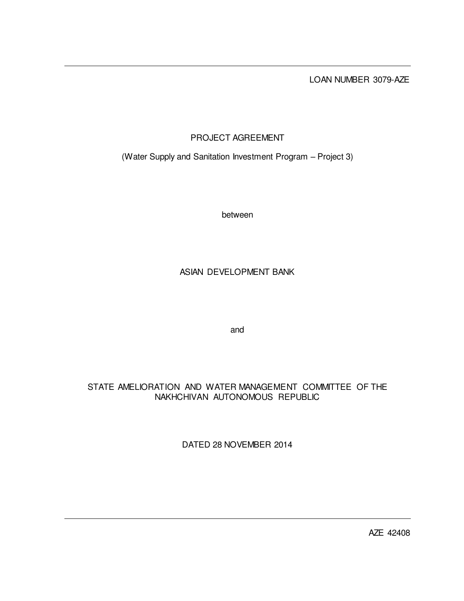LOAN NUMBER 3079-AZE

# PROJECT AGREEMENT

(Water Supply and Sanitation Investment Program – Project 3)

between

## ASIAN DEVELOPMENT BANK

and

## STATE AMELIORATION AND WATER MANAGEMENT COMMITTEE OF THE NAKHCHIVAN AUTONOMOUS REPUBLIC

DATED 28 NOVEMBER 2014

AZE 42408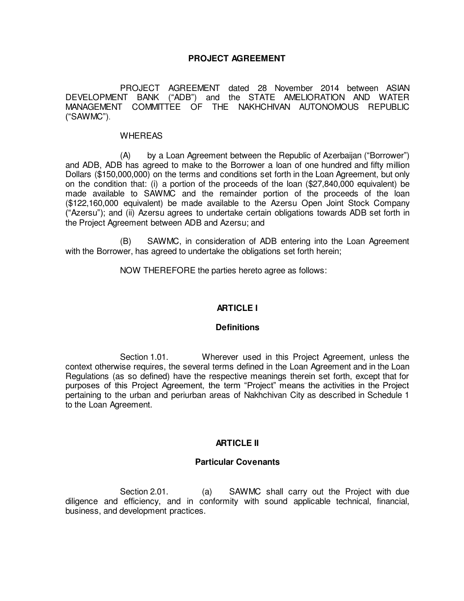## **PROJECT AGREEMENT**

 PROJECT AGREEMENT dated 28 November 2014 between ASIAN DEVELOPMENT BANK ("ADB") and the STATE AMELIORATION AND WATER MANAGEMENT COMMITTEE OF THE NAKHCHIVAN AUTONOMOUS REPUBLIC ("SAWMC").

#### WHEREAS

 (A) by a Loan Agreement between the Republic of Azerbaijan ("Borrower") and ADB, ADB has agreed to make to the Borrower a loan of one hundred and fifty million Dollars (\$150,000,000) on the terms and conditions set forth in the Loan Agreement, but only on the condition that: (i) a portion of the proceeds of the loan (\$27,840,000 equivalent) be made available to SAWMC and the remainder portion of the proceeds of the loan (\$122,160,000 equivalent) be made available to the Azersu Open Joint Stock Company ("Azersu"); and (ii) Azersu agrees to undertake certain obligations towards ADB set forth in the Project Agreement between ADB and Azersu; and

(B) SAWMC, in consideration of ADB entering into the Loan Agreement with the Borrower, has agreed to undertake the obligations set forth herein;

NOW THEREFORE the parties hereto agree as follows:

## **ARTICLE I**

#### **Definitions**

 Section 1.01. Wherever used in this Project Agreement, unless the context otherwise requires, the several terms defined in the Loan Agreement and in the Loan Regulations (as so defined) have the respective meanings therein set forth, except that for purposes of this Project Agreement, the term "Project" means the activities in the Project pertaining to the urban and periurban areas of Nakhchivan City as described in Schedule 1 to the Loan Agreement.

## **ARTICLE II**

#### **Particular Covenants**

 Section 2.01. (a) SAWMC shall carry out the Project with due diligence and efficiency, and in conformity with sound applicable technical, financial, business, and development practices.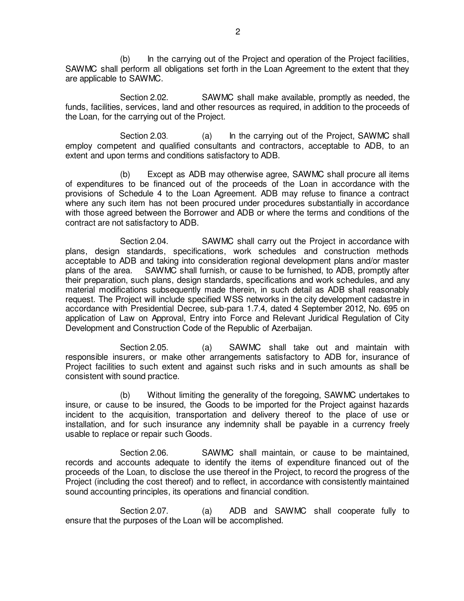(b) In the carrying out of the Project and operation of the Project facilities, SAWMC shall perform all obligations set forth in the Loan Agreement to the extent that they are applicable to SAWMC.

Section 2.02. SAWMC shall make available, promptly as needed, the funds, facilities, services, land and other resources as required, in addition to the proceeds of the Loan, for the carrying out of the Project.

Section 2.03. (a) In the carrying out of the Project, SAWMC shall employ competent and qualified consultants and contractors, acceptable to ADB, to an extent and upon terms and conditions satisfactory to ADB.

 (b) Except as ADB may otherwise agree, SAWMC shall procure all items of expenditures to be financed out of the proceeds of the Loan in accordance with the provisions of Schedule 4 to the Loan Agreement. ADB may refuse to finance a contract where any such item has not been procured under procedures substantially in accordance with those agreed between the Borrower and ADB or where the terms and conditions of the contract are not satisfactory to ADB.

 Section 2.04. SAWMC shall carry out the Project in accordance with plans, design standards, specifications, work schedules and construction methods acceptable to ADB and taking into consideration regional development plans and/or master plans of the area. SAWMC shall furnish, or cause to be furnished, to ADB, promptly after their preparation, such plans, design standards, specifications and work schedules, and any material modifications subsequently made therein, in such detail as ADB shall reasonably request. The Project will include specified WSS networks in the city development cadastre in accordance with Presidential Decree, sub-para 1.7.4, dated 4 September 2012, No. 695 on application of Law on Approval, Entry into Force and Relevant Juridical Regulation of City Development and Construction Code of the Republic of Azerbaijan.

 Section 2.05. (a) SAWMC shall take out and maintain with responsible insurers, or make other arrangements satisfactory to ADB for, insurance of Project facilities to such extent and against such risks and in such amounts as shall be consistent with sound practice.

 (b) Without limiting the generality of the foregoing, SAWMC undertakes to insure, or cause to be insured, the Goods to be imported for the Project against hazards incident to the acquisition, transportation and delivery thereof to the place of use or installation, and for such insurance any indemnity shall be payable in a currency freely usable to replace or repair such Goods.

 Section 2.06. SAWMC shall maintain, or cause to be maintained, records and accounts adequate to identify the items of expenditure financed out of the proceeds of the Loan, to disclose the use thereof in the Project, to record the progress of the Project (including the cost thereof) and to reflect, in accordance with consistently maintained sound accounting principles, its operations and financial condition.

Section 2.07. (a) ADB and SAWMC shall cooperate fully to ensure that the purposes of the Loan will be accomplished.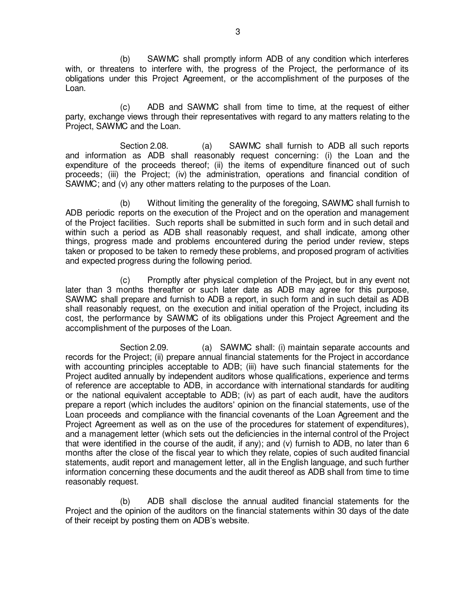(b) SAWMC shall promptly inform ADB of any condition which interferes with, or threatens to interfere with, the progress of the Project, the performance of its obligations under this Project Agreement, or the accomplishment of the purposes of the Loan.

 (c) ADB and SAWMC shall from time to time, at the request of either party, exchange views through their representatives with regard to any matters relating to the Project, SAWMC and the Loan.

Section 2.08. (a) SAWMC shall furnish to ADB all such reports and information as ADB shall reasonably request concerning: (i) the Loan and the expenditure of the proceeds thereof; (ii) the items of expenditure financed out of such proceeds; (iii) the Project; (iv) the administration, operations and financial condition of SAWMC; and (v) any other matters relating to the purposes of the Loan.

 (b) Without limiting the generality of the foregoing, SAWMC shall furnish to ADB periodic reports on the execution of the Project and on the operation and management of the Project facilities. Such reports shall be submitted in such form and in such detail and within such a period as ADB shall reasonably request, and shall indicate, among other things, progress made and problems encountered during the period under review, steps taken or proposed to be taken to remedy these problems, and proposed program of activities and expected progress during the following period.

 (c) Promptly after physical completion of the Project, but in any event not later than 3 months thereafter or such later date as ADB may agree for this purpose, SAWMC shall prepare and furnish to ADB a report, in such form and in such detail as ADB shall reasonably request, on the execution and initial operation of the Project, including its cost, the performance by SAWMC of its obligations under this Project Agreement and the accomplishment of the purposes of the Loan.

 Section 2.09. (a) SAWMC shall: (i) maintain separate accounts and records for the Project; (ii) prepare annual financial statements for the Project in accordance with accounting principles acceptable to ADB; (iii) have such financial statements for the Project audited annually by independent auditors whose qualifications, experience and terms of reference are acceptable to ADB, in accordance with international standards for auditing or the national equivalent acceptable to ADB; (iv) as part of each audit, have the auditors prepare a report (which includes the auditors' opinion on the financial statements, use of the Loan proceeds and compliance with the financial covenants of the Loan Agreement and the Project Agreement as well as on the use of the procedures for statement of expenditures), and a management letter (which sets out the deficiencies in the internal control of the Project that were identified in the course of the audit, if any); and (v) furnish to ADB, no later than 6 months after the close of the fiscal year to which they relate, copies of such audited financial statements, audit report and management letter, all in the English language, and such further information concerning these documents and the audit thereof as ADB shall from time to time reasonably request.

 (b) ADB shall disclose the annual audited financial statements for the Project and the opinion of the auditors on the financial statements within 30 days of the date of their receipt by posting them on ADB's website.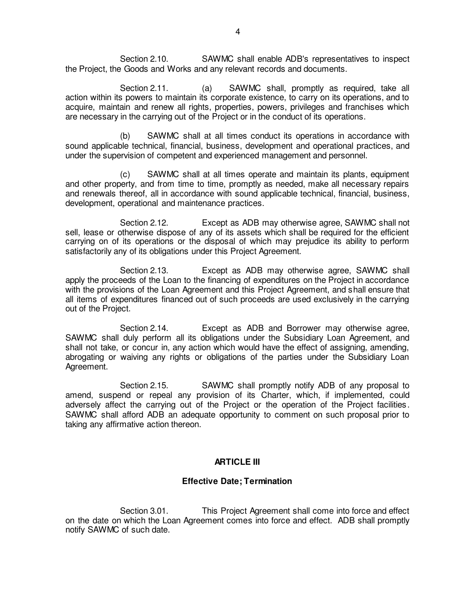Section 2.10. SAWMC shall enable ADB's representatives to inspect the Project, the Goods and Works and any relevant records and documents.

Section 2.11. (a) SAWMC shall, promptly as required, take all action within its powers to maintain its corporate existence, to carry on its operations, and to acquire, maintain and renew all rights, properties, powers, privileges and franchises which are necessary in the carrying out of the Project or in the conduct of its operations.

 (b) SAWMC shall at all times conduct its operations in accordance with sound applicable technical, financial, business, development and operational practices, and under the supervision of competent and experienced management and personnel.

 (c) SAWMC shall at all times operate and maintain its plants, equipment and other property, and from time to time, promptly as needed, make all necessary repairs and renewals thereof, all in accordance with sound applicable technical, financial, business, development, operational and maintenance practices.

 Section 2.12. Except as ADB may otherwise agree, SAWMC shall not sell, lease or otherwise dispose of any of its assets which shall be required for the efficient carrying on of its operations or the disposal of which may prejudice its ability to perform satisfactorily any of its obligations under this Project Agreement.

 Section 2.13. Except as ADB may otherwise agree, SAWMC shall apply the proceeds of the Loan to the financing of expenditures on the Project in accordance with the provisions of the Loan Agreement and this Project Agreement, and shall ensure that all items of expenditures financed out of such proceeds are used exclusively in the carrying out of the Project.

 Section 2.14. Except as ADB and Borrower may otherwise agree, SAWMC shall duly perform all its obligations under the Subsidiary Loan Agreement, and shall not take, or concur in, any action which would have the effect of assigning, amending, abrogating or waiving any rights or obligations of the parties under the Subsidiary Loan Agreement.

 Section 2.15. SAWMC shall promptly notify ADB of any proposal to amend, suspend or repeal any provision of its Charter, which, if implemented, could adversely affect the carrying out of the Project or the operation of the Project facilities. SAWMC shall afford ADB an adequate opportunity to comment on such proposal prior to taking any affirmative action thereon.

## **ARTICLE III**

## **Effective Date; Termination**

Section 3.01. This Project Agreement shall come into force and effect on the date on which the Loan Agreement comes into force and effect. ADB shall promptly notify SAWMC of such date.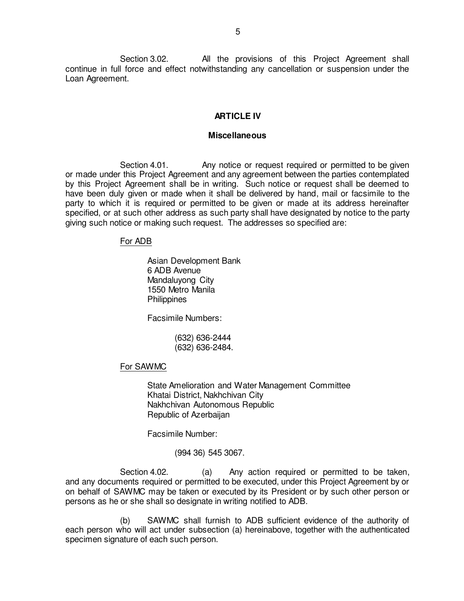Section 3.02. All the provisions of this Project Agreement shall continue in full force and effect notwithstanding any cancellation or suspension under the Loan Agreement.

## **ARTICLE IV**

### **Miscellaneous**

Section 4.01. Any notice or request required or permitted to be given or made under this Project Agreement and any agreement between the parties contemplated by this Project Agreement shall be in writing. Such notice or request shall be deemed to have been duly given or made when it shall be delivered by hand, mail or facsimile to the party to which it is required or permitted to be given or made at its address hereinafter specified, or at such other address as such party shall have designated by notice to the party giving such notice or making such request. The addresses so specified are:

#### For ADB

Asian Development Bank 6 ADB Avenue Mandaluyong City 1550 Metro Manila **Philippines** 

Facsimile Numbers:

 (632) 636-2444 (632) 636-2484.

## For SAWMC

State Amelioration and Water Management Committee Khatai District, Nakhchivan City Nakhchivan Autonomous Republic Republic of Azerbaijan

Facsimile Number:

(994 36) 545 3067.

Section 4.02. (a) Any action required or permitted to be taken, and any documents required or permitted to be executed, under this Project Agreement by or on behalf of SAWMC may be taken or executed by its President or by such other person or persons as he or she shall so designate in writing notified to ADB.

 (b) SAWMC shall furnish to ADB sufficient evidence of the authority of each person who will act under subsection (a) hereinabove, together with the authenticated specimen signature of each such person.